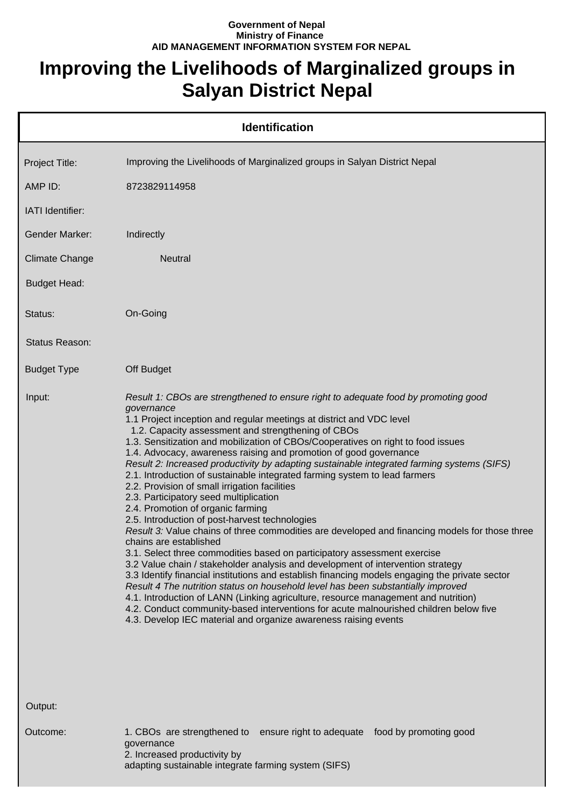## **Government of Nepal Ministry of Finance AID MANAGEMENT INFORMATION SYSTEM FOR NEPAL**

## **Improving the Livelihoods of Marginalized groups in Salyan District Nepal**

| <b>Identification</b> |                                                                                                                                                                                                                                                                                                                                                                                                                                                                                                                                                                                                                                                                                                                                                                                                                                                                                                                                                                                                                                                                                                                                                                                                                                                                                                                                                                                                                                                                                          |  |
|-----------------------|------------------------------------------------------------------------------------------------------------------------------------------------------------------------------------------------------------------------------------------------------------------------------------------------------------------------------------------------------------------------------------------------------------------------------------------------------------------------------------------------------------------------------------------------------------------------------------------------------------------------------------------------------------------------------------------------------------------------------------------------------------------------------------------------------------------------------------------------------------------------------------------------------------------------------------------------------------------------------------------------------------------------------------------------------------------------------------------------------------------------------------------------------------------------------------------------------------------------------------------------------------------------------------------------------------------------------------------------------------------------------------------------------------------------------------------------------------------------------------------|--|
| Project Title:        | Improving the Livelihoods of Marginalized groups in Salyan District Nepal                                                                                                                                                                                                                                                                                                                                                                                                                                                                                                                                                                                                                                                                                                                                                                                                                                                                                                                                                                                                                                                                                                                                                                                                                                                                                                                                                                                                                |  |
| AMP ID:               | 8723829114958                                                                                                                                                                                                                                                                                                                                                                                                                                                                                                                                                                                                                                                                                                                                                                                                                                                                                                                                                                                                                                                                                                                                                                                                                                                                                                                                                                                                                                                                            |  |
| IATI Identifier:      |                                                                                                                                                                                                                                                                                                                                                                                                                                                                                                                                                                                                                                                                                                                                                                                                                                                                                                                                                                                                                                                                                                                                                                                                                                                                                                                                                                                                                                                                                          |  |
| <b>Gender Marker:</b> | Indirectly                                                                                                                                                                                                                                                                                                                                                                                                                                                                                                                                                                                                                                                                                                                                                                                                                                                                                                                                                                                                                                                                                                                                                                                                                                                                                                                                                                                                                                                                               |  |
| <b>Climate Change</b> | <b>Neutral</b>                                                                                                                                                                                                                                                                                                                                                                                                                                                                                                                                                                                                                                                                                                                                                                                                                                                                                                                                                                                                                                                                                                                                                                                                                                                                                                                                                                                                                                                                           |  |
| <b>Budget Head:</b>   |                                                                                                                                                                                                                                                                                                                                                                                                                                                                                                                                                                                                                                                                                                                                                                                                                                                                                                                                                                                                                                                                                                                                                                                                                                                                                                                                                                                                                                                                                          |  |
| Status:               | On-Going                                                                                                                                                                                                                                                                                                                                                                                                                                                                                                                                                                                                                                                                                                                                                                                                                                                                                                                                                                                                                                                                                                                                                                                                                                                                                                                                                                                                                                                                                 |  |
| Status Reason:        |                                                                                                                                                                                                                                                                                                                                                                                                                                                                                                                                                                                                                                                                                                                                                                                                                                                                                                                                                                                                                                                                                                                                                                                                                                                                                                                                                                                                                                                                                          |  |
| <b>Budget Type</b>    | Off Budget                                                                                                                                                                                                                                                                                                                                                                                                                                                                                                                                                                                                                                                                                                                                                                                                                                                                                                                                                                                                                                                                                                                                                                                                                                                                                                                                                                                                                                                                               |  |
| Input:                | Result 1: CBOs are strengthened to ensure right to adequate food by promoting good<br>governance<br>1.1 Project inception and regular meetings at district and VDC level<br>1.2. Capacity assessment and strengthening of CBOs<br>1.3. Sensitization and mobilization of CBOs/Cooperatives on right to food issues<br>1.4. Advocacy, awareness raising and promotion of good governance<br>Result 2: Increased productivity by adapting sustainable integrated farming systems (SIFS)<br>2.1. Introduction of sustainable integrated farming system to lead farmers<br>2.2. Provision of small irrigation facilities<br>2.3. Participatory seed multiplication<br>2.4. Promotion of organic farming<br>2.5. Introduction of post-harvest technologies<br>Result 3: Value chains of three commodities are developed and financing models for those three<br>chains are established<br>3.1. Select three commodities based on participatory assessment exercise<br>3.2 Value chain / stakeholder analysis and development of intervention strategy<br>3.3 Identify financial institutions and establish financing models engaging the private sector<br>Result 4 The nutrition status on household level has been substantially improved<br>4.1. Introduction of LANN (Linking agriculture, resource management and nutrition)<br>4.2. Conduct community-based interventions for acute malnourished children below five<br>4.3. Develop IEC material and organize awareness raising events |  |
| Output:               |                                                                                                                                                                                                                                                                                                                                                                                                                                                                                                                                                                                                                                                                                                                                                                                                                                                                                                                                                                                                                                                                                                                                                                                                                                                                                                                                                                                                                                                                                          |  |
| Outcome:              | 1. CBOs are strengthened to<br>ensure right to adequate food by promoting good<br>governance<br>2. Increased productivity by<br>adapting sustainable integrate farming system (SIFS)                                                                                                                                                                                                                                                                                                                                                                                                                                                                                                                                                                                                                                                                                                                                                                                                                                                                                                                                                                                                                                                                                                                                                                                                                                                                                                     |  |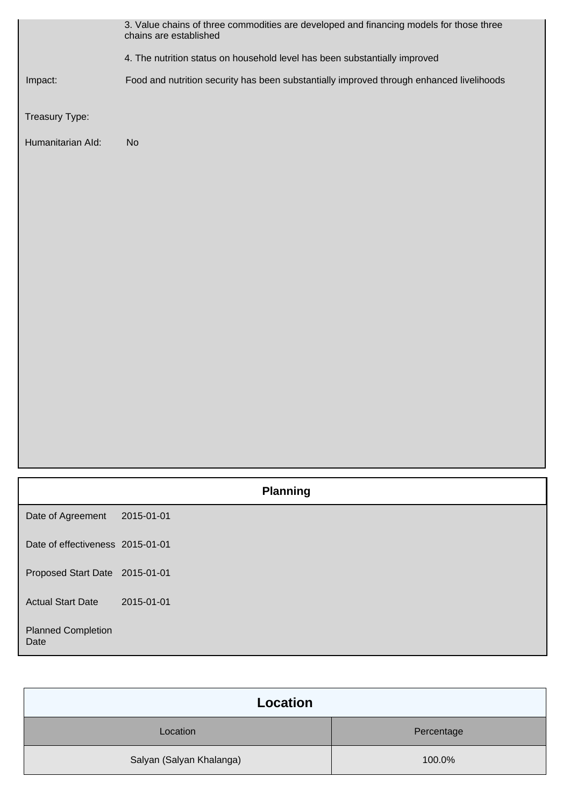|                                   | 3. Value chains of three commodities are developed and financing models for those three<br>chains are established |  |  |
|-----------------------------------|-------------------------------------------------------------------------------------------------------------------|--|--|
|                                   | 4. The nutrition status on household level has been substantially improved                                        |  |  |
| Impact:                           | Food and nutrition security has been substantially improved through enhanced livelihoods                          |  |  |
| Treasury Type:                    |                                                                                                                   |  |  |
| Humanitarian Ald:                 | No                                                                                                                |  |  |
|                                   |                                                                                                                   |  |  |
|                                   |                                                                                                                   |  |  |
|                                   |                                                                                                                   |  |  |
|                                   |                                                                                                                   |  |  |
|                                   |                                                                                                                   |  |  |
|                                   |                                                                                                                   |  |  |
|                                   |                                                                                                                   |  |  |
|                                   |                                                                                                                   |  |  |
|                                   |                                                                                                                   |  |  |
|                                   |                                                                                                                   |  |  |
|                                   |                                                                                                                   |  |  |
|                                   | <b>Planning</b>                                                                                                   |  |  |
| Date of Agreement                 | 2015-01-01                                                                                                        |  |  |
| Date of effectiveness 2015-01-01  |                                                                                                                   |  |  |
| Proposed Start Date 2015-01-01    |                                                                                                                   |  |  |
| <b>Actual Start Date</b>          | 2015-01-01                                                                                                        |  |  |
| <b>Planned Completion</b><br>Date |                                                                                                                   |  |  |

| Location                 |            |  |
|--------------------------|------------|--|
| Location                 | Percentage |  |
| Salyan (Salyan Khalanga) | 100.0%     |  |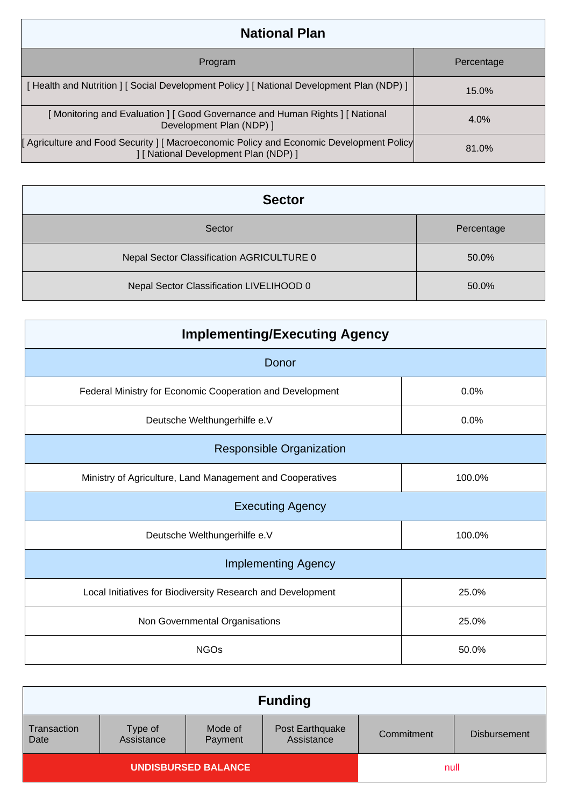| <b>National Plan</b>                                                                                                          |            |  |  |
|-------------------------------------------------------------------------------------------------------------------------------|------------|--|--|
| Program                                                                                                                       | Percentage |  |  |
| [Health and Nutrition ] [Social Development Policy ] [National Development Plan (NDP) ]                                       | $15.0\%$   |  |  |
| [Monitoring and Evaluation ] [ Good Governance and Human Rights ] [ National<br>Development Plan (NDP) ]                      | $4.0\%$    |  |  |
| Agriculture and Food Security   Macroeconomic Policy and Economic Development Policy<br>] [ National Development Plan (NDP) ] | 81.0%      |  |  |

| <b>Sector</b>                             |            |  |
|-------------------------------------------|------------|--|
| Sector                                    | Percentage |  |
| Nepal Sector Classification AGRICULTURE 0 | 50.0%      |  |
| Nepal Sector Classification LIVELIHOOD 0  | 50.0%      |  |

| <b>Implementing/Executing Agency</b>                        |        |  |  |  |
|-------------------------------------------------------------|--------|--|--|--|
| Donor                                                       |        |  |  |  |
| Federal Ministry for Economic Cooperation and Development   | 0.0%   |  |  |  |
| Deutsche Welthungerhilfe e.V                                | 0.0%   |  |  |  |
| <b>Responsible Organization</b>                             |        |  |  |  |
| Ministry of Agriculture, Land Management and Cooperatives   | 100.0% |  |  |  |
| <b>Executing Agency</b>                                     |        |  |  |  |
| Deutsche Welthungerhilfe e.V                                | 100.0% |  |  |  |
| <b>Implementing Agency</b>                                  |        |  |  |  |
| Local Initiatives for Biodiversity Research and Development | 25.0%  |  |  |  |
| Non Governmental Organisations                              | 25.0%  |  |  |  |
| <b>NGOs</b>                                                 | 50.0%  |  |  |  |

| <b>Funding</b>             |                       |                    |                               |            |                     |
|----------------------------|-----------------------|--------------------|-------------------------------|------------|---------------------|
| Transaction<br>Date        | Type of<br>Assistance | Mode of<br>Payment | Post Earthquake<br>Assistance | Commitment | <b>Disbursement</b> |
| <b>UNDISBURSED BALANCE</b> |                       |                    | null                          |            |                     |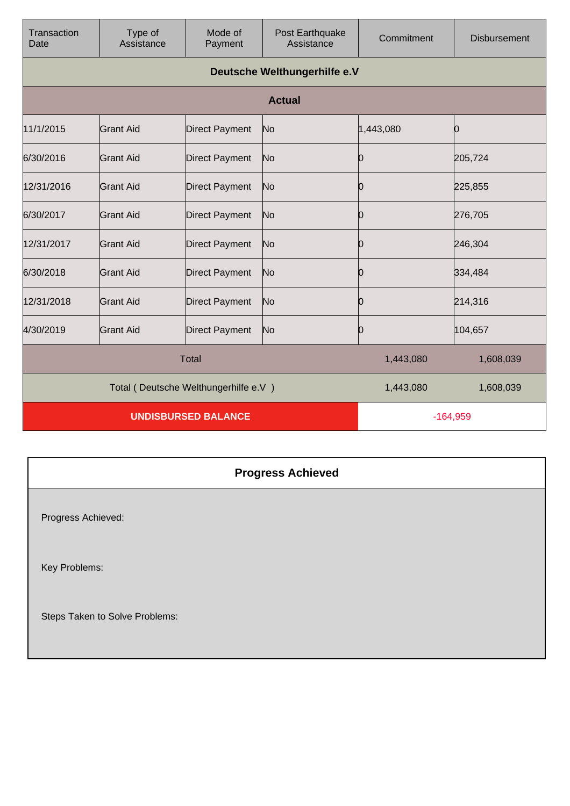| Transaction<br>Date                  | Type of<br>Assistance        | Mode of<br>Payment    | Post Earthquake<br>Assistance | Commitment | <b>Disbursement</b> |
|--------------------------------------|------------------------------|-----------------------|-------------------------------|------------|---------------------|
|                                      | Deutsche Welthungerhilfe e.V |                       |                               |            |                     |
|                                      |                              |                       | <b>Actual</b>                 |            |                     |
| 11/1/2015                            | <b>Grant Aid</b>             | <b>Direct Payment</b> | No                            | 1,443,080  | 0                   |
| 6/30/2016                            | Grant Aid                    | <b>Direct Payment</b> | No                            | Ю          | 205,724             |
| 12/31/2016                           | <b>Grant Aid</b>             | <b>Direct Payment</b> | No                            | 0          | 225,855             |
| 6/30/2017                            | <b>Grant Aid</b>             | <b>Direct Payment</b> | No                            | 0          | 276,705             |
| 12/31/2017                           | <b>Grant Aid</b>             | <b>Direct Payment</b> | No                            | 0          | 246,304             |
| 6/30/2018                            | <b>Grant Aid</b>             | <b>Direct Payment</b> | No                            | 0          | 334,484             |
| 12/31/2018                           | <b>Grant Aid</b>             | <b>Direct Payment</b> | No                            | 0          | 214,316             |
| 4/30/2019                            | <b>Grant Aid</b>             | <b>Direct Payment</b> | No                            | 0          | 104,657             |
| <b>Total</b>                         |                              |                       | 1,443,080                     | 1,608,039  |                     |
| Total (Deutsche Welthungerhilfe e.V) |                              |                       | 1,443,080                     | 1,608,039  |                     |
| <b>UNDISBURSED BALANCE</b>           |                              |                       | $-164,959$                    |            |                     |

## **Progress Achieved**

Progress Achieved:

Key Problems:

Steps Taken to Solve Problems: